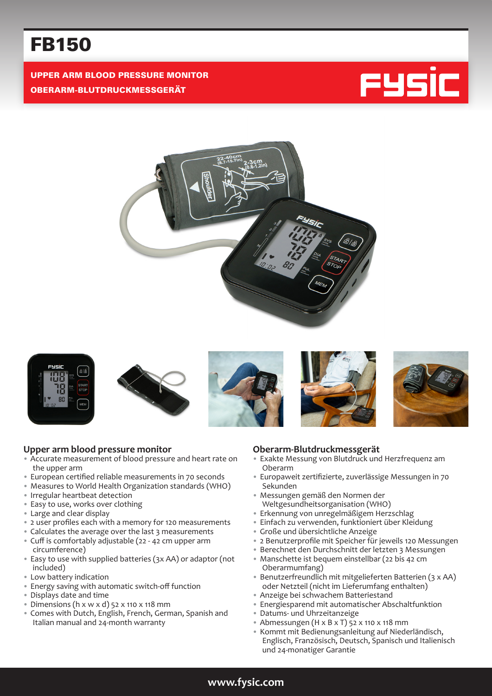# FB150

UPPER ARM BLOOD PRESSURE MONITOR OBERARM-BLUTDRUCKMESSGERÄT















#### **Upper arm blood pressure monitor**

- Accurate measurement of blood pressure and heart rate on the upper arm
- European certified reliable measurements in 70 seconds
- Measures to World Health Organization standards (WHO)
- Irregular heartbeat detection
- Easy to use, works over clothing
- Large and clear display
- 2 user profiles each with a memory for 120 measurements
- Calculates the average over the last 3 measurements
- Cuff is comfortably adjustable (22 42 cm upper arm circumference)
- Easy to use with supplied batteries (3x AA) or adaptor (not included)
- Low battery indication
- Energy saving with automatic switch-off function
- Displays date and time
- Dimensions (h x w x d) 52 x 110 x 118 mm
- Comes with Dutch, English, French, German, Spanish and Italian manual and 24-month warranty

#### **Oberarm-Blutdruckmessgerät**

- Exakte Messung von Blutdruck und Herzfrequenz am Oberarm
- Europaweit zertifizierte, zuverlässige Messungen in 70 Sekunden
- Messungen gemäß den Normen der Weltgesundheitsorganisation (WHO)
- Erkennung von unregelmäßigem Herzschlag
- Einfach zu verwenden, funktioniert über Kleidung
- Große und übersichtliche Anzeige
- 2 Benutzerprofile mit Speicher für jeweils 120 Messungen
- Berechnet den Durchschnitt der letzten 3 Messungen
- Manschette ist bequem einstellbar (22 bis 42 cm Oberarmumfang)
- Benutzerfreundlich mit mitgelieferten Batterien (3 x AA) oder Netzteil (nicht im Lieferumfang enthalten)
- Anzeige bei schwachem Batteriestand
- Energiesparend mit automatischer Abschaltfunktion
- Datums- und Uhrzeitanzeige
- Abmessungen (H x B x T) 52 x 110 x 118 mm
- Kommt mit Bedienungsanleitung auf Niederländisch, Englisch, Französisch, Deutsch, Spanisch und Italienisch und 24-monatiger Garantie

## **www.fysic.com**